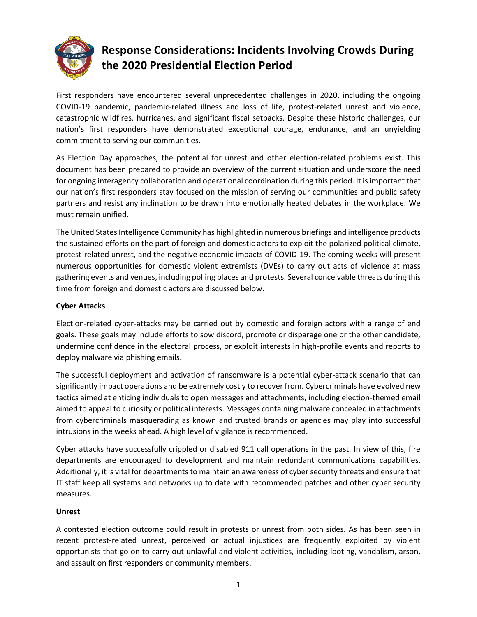

# **Response Considerations: Incidents Involving Crowds During the 2020 Presidential Election Period**

First responders have encountered several unprecedented challenges in 2020, including the ongoing COVID-19 pandemic, pandemic-related illness and loss of life, protest-related unrest and violence, catastrophic wildfires, hurricanes, and significant fiscal setbacks. Despite these historic challenges, our nation's first responders have demonstrated exceptional courage, endurance, and an unyielding commitment to serving our communities.

As Election Day approaches, the potential for unrest and other election-related problems exist. This document has been prepared to provide an overview of the current situation and underscore the need for ongoing interagency collaboration and operational coordination during this period. It is important that our nation's first responders stay focused on the mission of serving our communities and public safety partners and resist any inclination to be drawn into emotionally heated debates in the workplace. We must remain unified.

The United States Intelligence Community has highlighted in numerous briefings and intelligence products the sustained efforts on the part of foreign and domestic actors to exploit the polarized political climate, protest-related unrest, and the negative economic impacts of COVID-19. The coming weeks will present numerous opportunities for domestic violent extremists (DVEs) to carry out acts of violence at mass gathering events and venues, including polling places and protests. Several conceivable threats during this time from foreign and domestic actors are discussed below.

## **Cyber Attacks**

Election-related cyber-attacks may be carried out by domestic and foreign actors with a range of end goals. These goals may include efforts to sow discord, promote or disparage one or the other candidate, undermine confidence in the electoral process, or exploit interests in high-profile events and reports to deploy malware via phishing emails.

The successful deployment and activation of ransomware is a potential cyber-attack scenario that can significantly impact operations and be extremely costly to recover from. Cybercriminals have evolved new tactics aimed at enticing individuals to open messages and attachments, including election-themed email aimed to appeal to curiosity or political interests. Messages containing malware concealed in attachments from cybercriminals masquerading as known and trusted brands or agencies may play into successful intrusions in the weeks ahead. A high level of vigilance is recommended.

Cyber attacks have successfully crippled or disabled 911 call operations in the past. In view of this, fire departments are encouraged to development and maintain redundant communications capabilities. Additionally, it is vital for departments to maintain an awareness of cyber security threats and ensure that IT staff keep all systems and networks up to date with recommended patches and other cyber security measures.

## **Unrest**

A contested election outcome could result in protests or unrest from both sides. As has been seen in recent protest-related unrest, perceived or actual injustices are frequently exploited by violent opportunists that go on to carry out unlawful and violent activities, including looting, vandalism, arson, and assault on first responders or community members.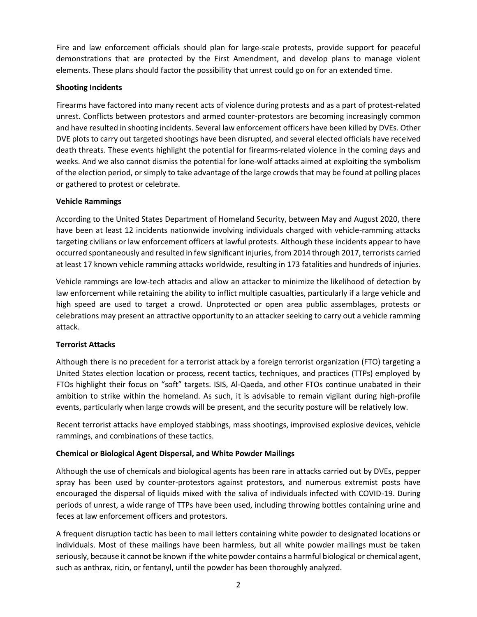Fire and law enforcement officials should plan for large-scale protests, provide support for peaceful demonstrations that are protected by the First Amendment, and develop plans to manage violent elements. These plans should factor the possibility that unrest could go on for an extended time.

#### **Shooting Incidents**

Firearms have factored into many recent acts of violence during protests and as a part of protest-related unrest. Conflicts between protestors and armed counter-protestors are becoming increasingly common and have resulted in shooting incidents. Several law enforcement officers have been killed by DVEs. Other DVE plots to carry out targeted shootings have been disrupted, and several elected officials have received death threats. These events highlight the potential for firearms-related violence in the coming days and weeks. And we also cannot dismiss the potential for lone-wolf attacks aimed at exploiting the symbolism of the election period, or simply to take advantage of the large crowds that may be found at polling places or gathered to protest or celebrate.

#### **Vehicle Rammings**

According to the United States Department of Homeland Security, between May and August 2020, there have been at least 12 incidents nationwide involving individuals charged with vehicle-ramming attacks targeting civilians or law enforcement officers at lawful protests. Although these incidents appear to have occurred spontaneously and resulted in few significant injuries, from 2014 through 2017, terrorists carried at least 17 known vehicle ramming attacks worldwide, resulting in 173 fatalities and hundreds of injuries.

Vehicle rammings are low-tech attacks and allow an attacker to minimize the likelihood of detection by law enforcement while retaining the ability to inflict multiple casualties, particularly if a large vehicle and high speed are used to target a crowd. Unprotected or open area public assemblages, protests or celebrations may present an attractive opportunity to an attacker seeking to carry out a vehicle ramming attack.

## **Terrorist Attacks**

Although there is no precedent for a terrorist attack by a foreign terrorist organization (FTO) targeting a United States election location or process, recent tactics, techniques, and practices (TTPs) employed by FTOs highlight their focus on "soft" targets. ISIS, Al-Qaeda, and other FTOs continue unabated in their ambition to strike within the homeland. As such, it is advisable to remain vigilant during high-profile events, particularly when large crowds will be present, and the security posture will be relatively low.

Recent terrorist attacks have employed stabbings, mass shootings, improvised explosive devices, vehicle rammings, and combinations of these tactics.

## **Chemical or Biological Agent Dispersal, and White Powder Mailings**

Although the use of chemicals and biological agents has been rare in attacks carried out by DVEs, pepper spray has been used by counter-protestors against protestors, and numerous extremist posts have encouraged the dispersal of liquids mixed with the saliva of individuals infected with COVID-19. During periods of unrest, a wide range of TTPs have been used, including throwing bottles containing urine and feces at law enforcement officers and protestors.

A frequent disruption tactic has been to mail letters containing white powder to designated locations or individuals. Most of these mailings have been harmless, but all white powder mailings must be taken seriously, because it cannot be known if the white powder contains a harmful biological or chemical agent, such as anthrax, ricin, or fentanyl, until the powder has been thoroughly analyzed.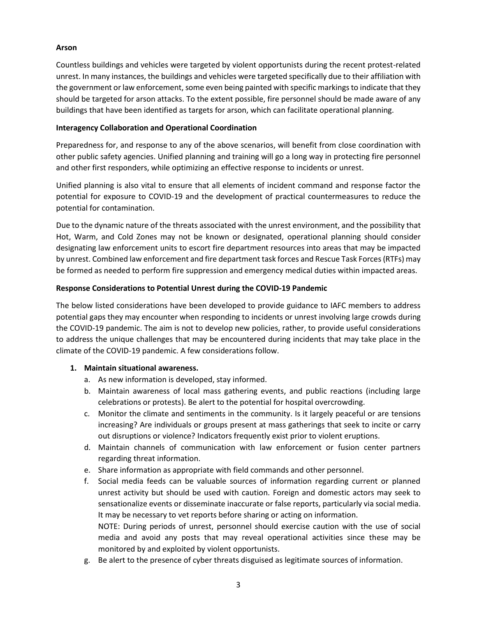#### **Arson**

Countless buildings and vehicles were targeted by violent opportunists during the recent protest-related unrest. In many instances, the buildings and vehicles were targeted specifically due to their affiliation with the government or law enforcement, some even being painted with specific markings to indicate that they should be targeted for arson attacks. To the extent possible, fire personnel should be made aware of any buildings that have been identified as targets for arson, which can facilitate operational planning.

#### **Interagency Collaboration and Operational Coordination**

Preparedness for, and response to any of the above scenarios, will benefit from close coordination with other public safety agencies. Unified planning and training will go a long way in protecting fire personnel and other first responders, while optimizing an effective response to incidents or unrest.

Unified planning is also vital to ensure that all elements of incident command and response factor the potential for exposure to COVID-19 and the development of practical countermeasures to reduce the potential for contamination.

Due to the dynamic nature of the threats associated with the unrest environment, and the possibility that Hot, Warm, and Cold Zones may not be known or designated, operational planning should consider designating law enforcement units to escort fire department resources into areas that may be impacted by unrest. Combined law enforcement and fire department task forces and Rescue Task Forces(RTFs) may be formed as needed to perform fire suppression and emergency medical duties within impacted areas.

#### **Response Considerations to Potential Unrest during the COVID-19 Pandemic**

The below listed considerations have been developed to provide guidance to IAFC members to address potential gaps they may encounter when responding to incidents or unrest involving large crowds during the COVID-19 pandemic. The aim is not to develop new policies, rather, to provide useful considerations to address the unique challenges that may be encountered during incidents that may take place in the climate of the COVID-19 pandemic. A few considerations follow.

## **1. Maintain situational awareness.**

- a. As new information is developed, stay informed.
- b. Maintain awareness of local mass gathering events, and public reactions (including large celebrations or protests). Be alert to the potential for hospital overcrowding.
- c. Monitor the climate and sentiments in the community. Is it largely peaceful or are tensions increasing? Are individuals or groups present at mass gatherings that seek to incite or carry out disruptions or violence? Indicators frequently exist prior to violent eruptions.
- d. Maintain channels of communication with law enforcement or fusion center partners regarding threat information.
- e. Share information as appropriate with field commands and other personnel.
- f. Social media feeds can be valuable sources of information regarding current or planned unrest activity but should be used with caution. Foreign and domestic actors may seek to sensationalize events or disseminate inaccurate or false reports, particularly via social media. It may be necessary to vet reports before sharing or acting on information. NOTE: During periods of unrest, personnel should exercise caution with the use of social media and avoid any posts that may reveal operational activities since these may be monitored by and exploited by violent opportunists.
- g. Be alert to the presence of cyber threats disguised as legitimate sources of information.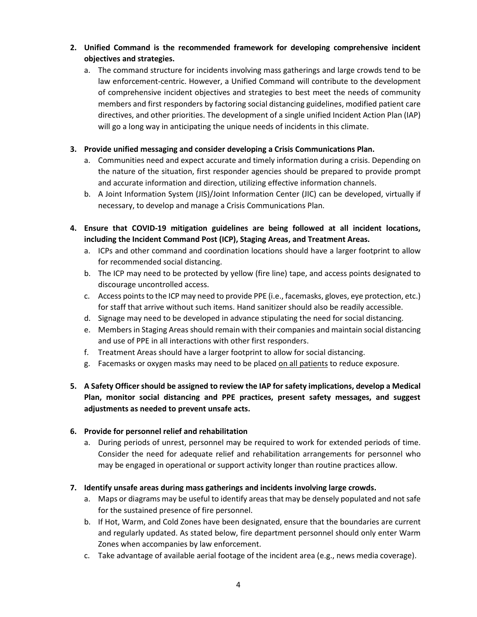## **2. Unified Command is the recommended framework for developing comprehensive incident objectives and strategies.**

a. The command structure for incidents involving mass gatherings and large crowds tend to be law enforcement-centric. However, a Unified Command will contribute to the development of comprehensive incident objectives and strategies to best meet the needs of community members and first responders by factoring social distancing guidelines, modified patient care directives, and other priorities. The development of a single unified Incident Action Plan (IAP) will go a long way in anticipating the unique needs of incidents in this climate.

## **3. Provide unified messaging and consider developing a Crisis Communications Plan.**

- a. Communities need and expect accurate and timely information during a crisis. Depending on the nature of the situation, first responder agencies should be prepared to provide prompt and accurate information and direction, utilizing effective information channels.
- b. A Joint Information System (JIS)/Joint Information Center (JIC) can be developed, virtually if necessary, to develop and manage a Crisis Communications Plan.
- **4. Ensure that COVID-19 mitigation guidelines are being followed at all incident locations, including the Incident Command Post (ICP), Staging Areas, and Treatment Areas.**
	- a. ICPs and other command and coordination locations should have a larger footprint to allow for recommended social distancing.
	- b. The ICP may need to be protected by yellow (fire line) tape, and access points designated to discourage uncontrolled access.
	- c. Access points to the ICP may need to provide PPE (i.e., facemasks, gloves, eye protection, etc.) for staff that arrive without such items. Hand sanitizer should also be readily accessible.
	- d. Signage may need to be developed in advance stipulating the need for social distancing.
	- e. Members in Staging Areas should remain with their companies and maintain social distancing and use of PPE in all interactions with other first responders.
	- f. Treatment Areas should have a larger footprint to allow for social distancing.
	- g. Facemasks or oxygen masks may need to be placed on all patients to reduce exposure.
- **5. A Safety Officer should be assigned to review the IAP for safety implications, develop a Medical Plan, monitor social distancing and PPE practices, present safety messages, and suggest adjustments as needed to prevent unsafe acts.**

## **6. Provide for personnel relief and rehabilitation**

a. During periods of unrest, personnel may be required to work for extended periods of time. Consider the need for adequate relief and rehabilitation arrangements for personnel who may be engaged in operational or support activity longer than routine practices allow.

## **7. Identify unsafe areas during mass gatherings and incidents involving large crowds.**

- a. Maps or diagrams may be useful to identify areasthat may be densely populated and not safe for the sustained presence of fire personnel.
- b. If Hot, Warm, and Cold Zones have been designated, ensure that the boundaries are current and regularly updated. As stated below, fire department personnel should only enter Warm Zones when accompanies by law enforcement.
- c. Take advantage of available aerial footage of the incident area (e.g., news media coverage).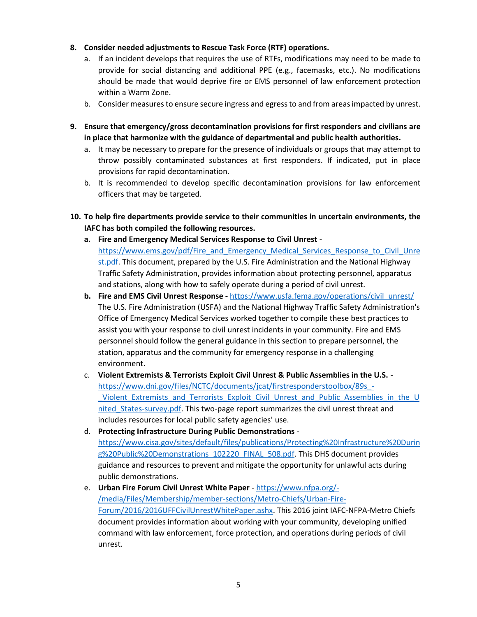## **8. Consider needed adjustments to Rescue Task Force (RTF) operations.**

- a. If an incident develops that requires the use of RTFs, modifications may need to be made to provide for social distancing and additional PPE (e.g., facemasks, etc.). No modifications should be made that would deprive fire or EMS personnel of law enforcement protection within a Warm Zone.
- b. Consider measures to ensure secure ingress and egress to and from areas impacted by unrest.
- **9. Ensure that emergency/gross decontamination provisions for first responders and civilians are in place that harmonize with the guidance of departmental and public health authorities.**
	- a. It may be necessary to prepare for the presence of individuals or groups that may attempt to throw possibly contaminated substances at first responders. If indicated, put in place provisions for rapid decontamination.
	- b. It is recommended to develop specific decontamination provisions for law enforcement officers that may be targeted.
- **10. To help fire departments provide service to their communities in uncertain environments, the IAFC has both compiled the following resources.**
	- **a. Fire and Emergency Medical Services Response to Civil Unrest** [https://www.ems.gov/pdf/Fire\\_and\\_Emergency\\_Medical\\_Services\\_Response\\_to\\_Civil\\_Unre](https://www.ems.gov/pdf/Fire_and_Emergency_Medical_Services_Response_to_Civil_Unrest.pdf) [st.pdf.](https://www.ems.gov/pdf/Fire_and_Emergency_Medical_Services_Response_to_Civil_Unrest.pdf) This document, prepared by the U.S. Fire Administration and the National Highway Traffic Safety Administration, provides information about protecting personnel, apparatus and stations, along with how to safely operate during a period of civil unrest.
	- **b. Fire and EMS Civil Unrest Response -** [https://www.usfa.fema.gov/operations/civil\\_unrest/](https://www.usfa.fema.gov/operations/civil_unrest/) The U.S. Fire Administration (USFA) and the National Highway Traffic Safety Administration's Office of Emergency Medical Services worked together to compile these best practices to assist you with your response to civil unrest incidents in your community. Fire and EMS personnel should follow the general guidance in this section to prepare personnel, the station, apparatus and the community for emergency response in a challenging environment.
	- c. **Violent Extremists & Terrorists Exploit Civil Unrest & Public Assemblies in the U.S.** [https://www.dni.gov/files/NCTC/documents/jcat/firstresponderstoolbox/89s\\_-](https://www.dni.gov/files/NCTC/documents/jcat/firstresponderstoolbox/89s_-_Violent_Extremists_and_Terrorists_Exploit_Civil_Unrest_and_Public_Assemblies_in_the_United_States-survey.pdf) Violent Extremists and Terrorists Exploit Civil Unrest and Public Assemblies in the U nited States-survey.pdf. This two-page report summarizes the civil unrest threat and includes resources for local public safety agencies' use.
	- d. **Protecting Infrastructure During Public Demonstrations** [https://www.cisa.gov/sites/default/files/publications/Protecting%20Infrastructure%20Durin](https://www.cisa.gov/sites/default/files/publications/Protecting%20Infrastructure%20During%20Public%20Demonstrations_102220_FINAL_508.pdf) [g%20Public%20Demonstrations\\_102220\\_FINAL\\_508.pdf.](https://www.cisa.gov/sites/default/files/publications/Protecting%20Infrastructure%20During%20Public%20Demonstrations_102220_FINAL_508.pdf) This DHS document provides guidance and resources to prevent and mitigate the opportunity for unlawful acts during public demonstrations.

## e. **Urban Fire Forum Civil Unrest White Paper** - [https://www.nfpa.org/-](https://www.nfpa.org/-/media/Files/Membership/member-sections/Metro-Chiefs/Urban-Fire-Forum/2016/2016UFFCivilUnrestWhitePaper.ashx) [/media/Files/Membership/member-sections/Metro-Chiefs/Urban-Fire-](https://www.nfpa.org/-/media/Files/Membership/member-sections/Metro-Chiefs/Urban-Fire-Forum/2016/2016UFFCivilUnrestWhitePaper.ashx)[Forum/2016/2016UFFCivilUnrestWhitePaper.ashx.](https://www.nfpa.org/-/media/Files/Membership/member-sections/Metro-Chiefs/Urban-Fire-Forum/2016/2016UFFCivilUnrestWhitePaper.ashx) This 2016 joint IAFC-NFPA-Metro Chiefs document provides information about working with your community, developing unified command with law enforcement, force protection, and operations during periods of civil unrest.